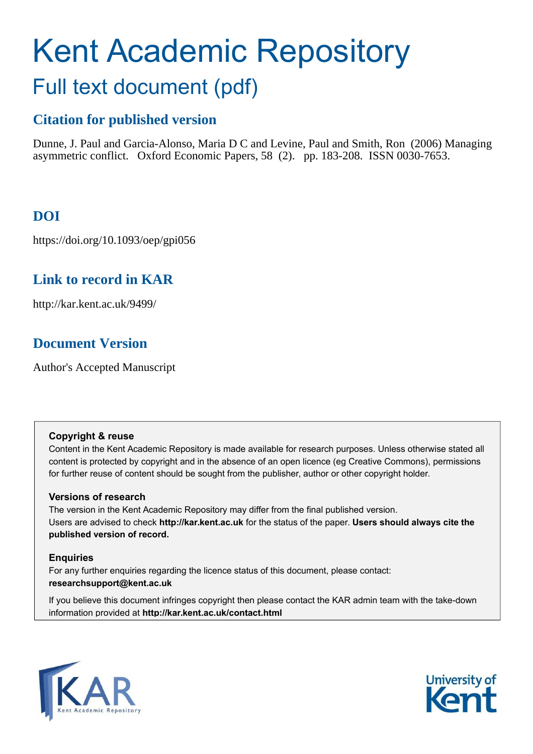# Kent Academic Repository Full text document (pdf)

# **Citation for published version**

Dunne, J. Paul and Garcia-Alonso, Maria D C and Levine, Paul and Smith, Ron (2006) Managing asymmetric conflict. Oxford Economic Papers, 58 (2). pp. 183-208. ISSN 0030-7653.

# **DOI**

https://doi.org/10.1093/oep/gpi056

# **Link to record in KAR**

http://kar.kent.ac.uk/9499/

# **Document Version**

Author's Accepted Manuscript

## **Copyright & reuse**

Content in the Kent Academic Repository is made available for research purposes. Unless otherwise stated all content is protected by copyright and in the absence of an open licence (eg Creative Commons), permissions for further reuse of content should be sought from the publisher, author or other copyright holder.

## **Versions of research**

The version in the Kent Academic Repository may differ from the final published version. Users are advised to check **http://kar.kent.ac.uk** for the status of the paper. **Users should always cite the published version of record.**

## **Enquiries**

For any further enquiries regarding the licence status of this document, please contact: **researchsupport@kent.ac.uk**

If you believe this document infringes copyright then please contact the KAR admin team with the take-down information provided at **http://kar.kent.ac.uk/contact.html**



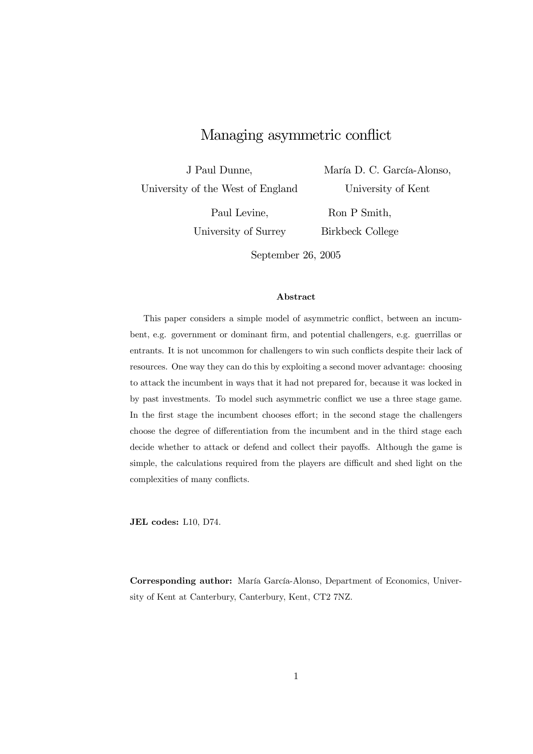## Managing asymmetric conflict

J Paul Dunne,

University of the West of England

María D. C. García-Alonso, University of Kent

Paul Levine,

University of Surrey

Ron P Smith, Birkbeck College

September 26, 2005

#### Abstract

This paper considers a simple model of asymmetric conflict, between an incumbent, e.g. government or dominant firm, and potential challengers, e.g. guerrillas or entrants. It is not uncommon for challengers to win such conflicts despite their lack of resources. One way they can do this by exploiting a second mover advantage: choosing to attack the incumbent in ways that it had not prepared for, because it was locked in by past investments. To model such asymmetric conflict we use a three stage game. In the first stage the incumbent chooses effort; in the second stage the challengers choose the degree of differentiation from the incumbent and in the third stage each decide whether to attack or defend and collect their payoffs. Although the game is simple, the calculations required from the players are difficult and shed light on the complexities of many conflicts.

JEL codes: L10, D74.

Corresponding author: María García-Alonso, Department of Economics, University of Kent at Canterbury, Canterbury, Kent, CT2 7NZ.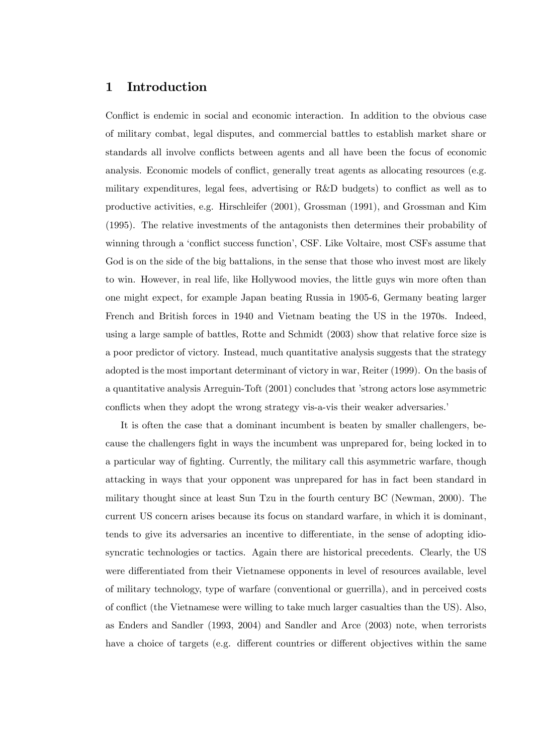## 1 Introduction

Conflict is endemic in social and economic interaction. In addition to the obvious case of military combat, legal disputes, and commercial battles to establish market share or standards all involve conflicts between agents and all have been the focus of economic analysis. Economic models of conflict, generally treat agents as allocating resources (e.g. military expenditures, legal fees, advertising or R&D budgets) to conflict as well as to productive activities, e.g. Hirschleifer (2001), Grossman (1991), and Grossman and Kim (1995). The relative investments of the antagonists then determines their probability of winning through a 'conflict success function', CSF. Like Voltaire, most CSFs assume that God is on the side of the big battalions, in the sense that those who invest most are likely to win. However, in real life, like Hollywood movies, the little guys win more often than one might expect, for example Japan beating Russia in 1905-6, Germany beating larger French and British forces in 1940 and Vietnam beating the US in the 1970s. Indeed, using a large sample of battles, Rotte and Schmidt (2003) show that relative force size is a poor predictor of victory. Instead, much quantitative analysis suggests that the strategy adopted is the most important determinant of victory in war, Reiter (1999). On the basis of a quantitative analysis Arreguin-Toft (2001) concludes that ístrong actors lose asymmetric conflicts when they adopt the wrong strategy vis-a-vis their weaker adversaries.

It is often the case that a dominant incumbent is beaten by smaller challengers, because the challengers fight in ways the incumbent was unprepared for, being locked in to a particular way of fighting. Currently, the military call this asymmetric warfare, though attacking in ways that your opponent was unprepared for has in fact been standard in military thought since at least Sun Tzu in the fourth century BC (Newman, 2000). The current US concern arises because its focus on standard warfare, in which it is dominant, tends to give its adversaries an incentive to differentiate, in the sense of adopting idiosyncratic technologies or tactics. Again there are historical precedents. Clearly, the US were differentiated from their Vietnamese opponents in level of resources available, level of military technology, type of warfare (conventional or guerrilla), and in perceived costs of conflict (the Vietnamese were willing to take much larger casualties than the US). Also, as Enders and Sandler (1993, 2004) and Sandler and Arce (2003) note, when terrorists have a choice of targets (e.g. different countries or different objectives within the same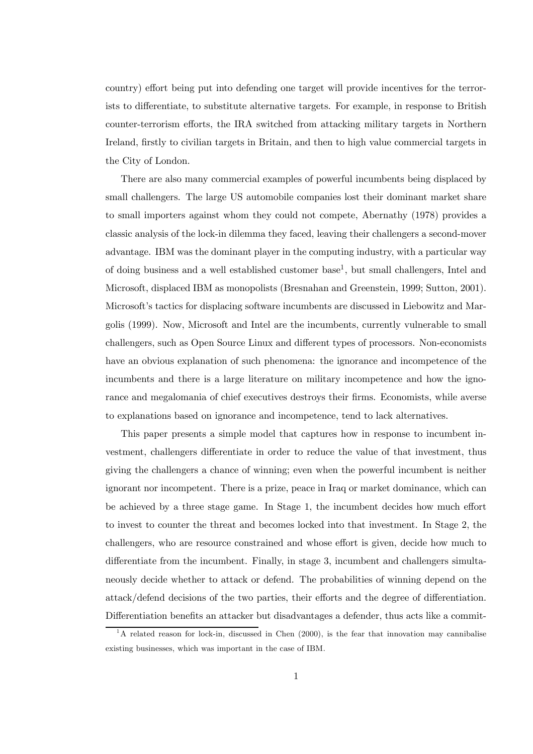country) effort being put into defending one target will provide incentives for the terrorists to differentiate, to substitute alternative targets. For example, in response to British counter-terrorism efforts, the IRA switched from attacking military targets in Northern Ireland, firstly to civilian targets in Britain, and then to high value commercial targets in the City of London.

There are also many commercial examples of powerful incumbents being displaced by small challengers. The large US automobile companies lost their dominant market share to small importers against whom they could not compete, Abernathy (1978) provides a classic analysis of the lock-in dilemma they faced, leaving their challengers a second-mover advantage. IBM was the dominant player in the computing industry, with a particular way of doing business and a well established customer base<sup>1</sup>, but small challengers, Intel and Microsoft, displaced IBM as monopolists (Bresnahan and Greenstein, 1999; Sutton, 2001). Microsoft's tactics for displacing software incumbents are discussed in Liebowitz and Margolis (1999). Now, Microsoft and Intel are the incumbents, currently vulnerable to small challengers, such as Open Source Linux and different types of processors. Non-economists have an obvious explanation of such phenomena: the ignorance and incompetence of the incumbents and there is a large literature on military incompetence and how the ignorance and megalomania of chief executives destroys their firms. Economists, while averse to explanations based on ignorance and incompetence, tend to lack alternatives.

This paper presents a simple model that captures how in response to incumbent investment, challengers differentiate in order to reduce the value of that investment, thus giving the challengers a chance of winning; even when the powerful incumbent is neither ignorant nor incompetent. There is a prize, peace in Iraq or market dominance, which can be achieved by a three stage game. In Stage 1, the incumbent decides how much effort to invest to counter the threat and becomes locked into that investment. In Stage 2, the challengers, who are resource constrained and whose effort is given, decide how much to differentiate from the incumbent. Finally, in stage 3, incumbent and challengers simultaneously decide whether to attack or defend. The probabilities of winning depend on the attack/defend decisions of the two parties, their efforts and the degree of differentiation. Differentiation benefits an attacker but disadvantages a defender, thus acts like a commit-

 $1<sup>1</sup>A$  related reason for lock-in, discussed in Chen (2000), is the fear that innovation may cannibalise existing businesses, which was important in the case of IBM.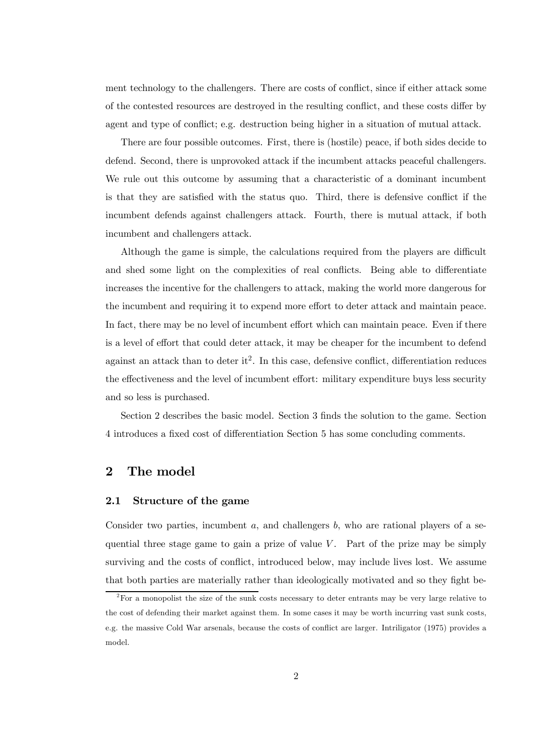ment technology to the challengers. There are costs of conflict, since if either attack some of the contested resources are destroyed in the resulting conflict, and these costs differ by agent and type of conflict; e.g. destruction being higher in a situation of mutual attack.

There are four possible outcomes. First, there is (hostile) peace, if both sides decide to defend. Second, there is unprovoked attack if the incumbent attacks peaceful challengers. We rule out this outcome by assuming that a characteristic of a dominant incumbent is that they are satisfied with the status quo. Third, there is defensive conflict if the incumbent defends against challengers attack. Fourth, there is mutual attack, if both incumbent and challengers attack.

Although the game is simple, the calculations required from the players are difficult and shed some light on the complexities of real conflicts. Being able to differentiate increases the incentive for the challengers to attack, making the world more dangerous for the incumbent and requiring it to expend more effort to deter attack and maintain peace. In fact, there may be no level of incumbent effort which can maintain peace. Even if there is a level of effort that could deter attack, it may be cheaper for the incumbent to defend against an attack than to deter it<sup>2</sup>. In this case, defensive conflict, differentiation reduces the effectiveness and the level of incumbent effort: military expenditure buys less security and so less is purchased.

Section 2 describes the basic model. Section 3 finds the solution to the game. Section 4 introduces a fixed cost of differentiation Section 5 has some concluding comments.

## 2 The model

### 2.1 Structure of the game

Consider two parties, incumbent  $a$ , and challengers  $b$ , who are rational players of a sequential three stage game to gain a prize of value  $V$ . Part of the prize may be simply surviving and the costs of conflict, introduced below, may include lives lost. We assume that both parties are materially rather than ideologically motivated and so they fight be-

 $2F$  For a monopolist the size of the sunk costs necessary to deter entrants may be very large relative to the cost of defending their market against them. In some cases it may be worth incurring vast sunk costs, e.g. the massive Cold War arsenals, because the costs of conflict are larger. Intriligator (1975) provides a model.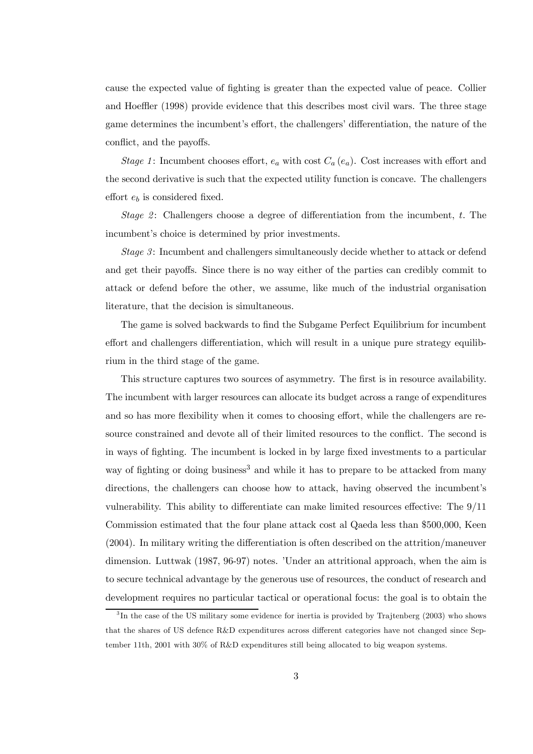cause the expected value of fighting is greater than the expected value of peace. Collier and Hoeffler (1998) provide evidence that this describes most civil wars. The three stage game determines the incumbent's effort, the challengers' differentiation, the nature of the conflict, and the payoffs.

*Stage 1*: Incumbent chooses effort,  $e_a$  with cost  $C_a$  ( $e_a$ ). Cost increases with effort and the second derivative is such that the expected utility function is concave. The challengers effort  $e_b$  is considered fixed.

*Stage 2* : Challengers choose a degree of differentiation from the incumbent, t. The incumbent's choice is determined by prior investments.

*Stage 3* : Incumbent and challengers simultaneously decide whether to attack or defend and get their payoffs. Since there is no way either of the parties can credibly commit to attack or defend before the other, we assume, like much of the industrial organisation literature, that the decision is simultaneous.

The game is solved backwards to find the Subgame Perfect Equilibrium for incumbent effort and challengers differentiation, which will result in a unique pure strategy equilibrium in the third stage of the game.

This structure captures two sources of asymmetry. The first is in resource availability. The incumbent with larger resources can allocate its budget across a range of expenditures and so has more flexibility when it comes to choosing effort, while the challengers are resource constrained and devote all of their limited resources to the conflict. The second is in ways of fighting. The incumbent is locked in by large fixed investments to a particular way of fighting or doing business<sup>3</sup> and while it has to prepare to be attacked from many directions, the challengers can choose how to attack, having observed the incumbent's vulnerability. This ability to differentiate can make limited resources effective: The 9/11 Commission estimated that the four plane attack cost al Qaeda less than \$500,000, Keen (2004). In military writing the differentiation is often described on the attrition/maneuver dimension. Luttwak (1987, 96-97) notes. *'Under an attritional approach*, when the aim is to secure technical advantage by the generous use of resources, the conduct of research and development requires no particular tactical or operational focus: the goal is to obtain the

<sup>&</sup>lt;sup>3</sup>In the case of the US military some evidence for inertia is provided by Trajtenberg (2003) who shows that the shares of US defence R&D expenditures across different categories have not changed since September 11th, 2001 with 30% of R&D expenditures still being allocated to big weapon systems.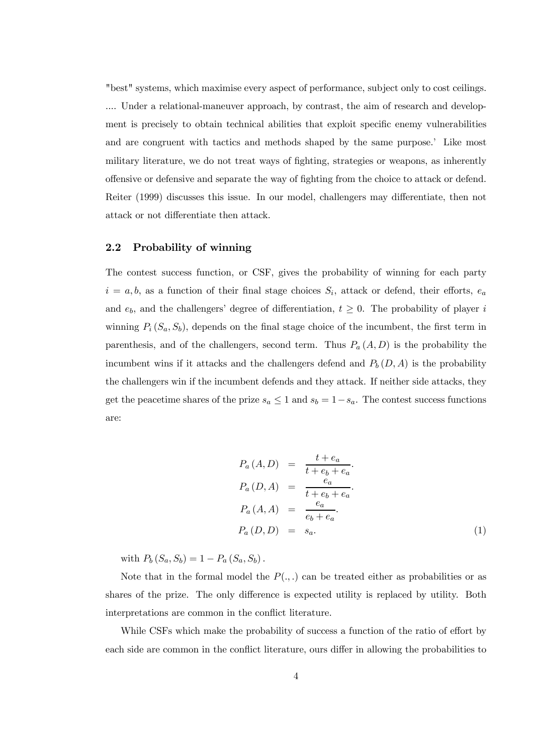"best" systems, which maximise every aspect of performance, subject only to cost ceilings. .... Under a relational-maneuver approach, by contrast, the aim of research and development is precisely to obtain technical abilities that exploit specific enemy vulnerabilities and are congruent with tactics and methods shaped by the same purpose. Like most military literature, we do not treat ways of fighting, strategies or weapons, as inherently offensive or defensive and separate the way of fighting from the choice to attack or defend. Reiter (1999) discusses this issue. In our model, challengers may differentiate, then not attack or not differentiate then attack.

## 2.2 Probability of winning

The contest success function, or CSF, gives the probability of winning for each party  $i = a, b$ , as a function of their final stage choices  $S_i$ , attack or defend, their efforts,  $e_a$ and  $e_b$ , and the challengers' degree of differentiation,  $t \geq 0$ . The probability of player i winning  $P_i(S_a, S_b)$ , depends on the final stage choice of the incumbent, the first term in parenthesis, and of the challengers, second term. Thus  $P_a(A, D)$  is the probability the incumbent wins if it attacks and the challengers defend and  $P_b (D, A)$  is the probability the challengers win if the incumbent defends and they attack. If neither side attacks, they get the peacetime shares of the prize  $s_a \leq 1$  and  $s_b = 1 - s_a$ . The contest success functions are:

$$
P_a(A, D) = \frac{t + e_a}{t + e_b + e_a}.
$$
  
\n
$$
P_a(D, A) = \frac{e_a}{t + e_b + e_a}.
$$
  
\n
$$
P_a(A, A) = \frac{e_a}{e_b + e_a}.
$$
  
\n
$$
P_a(D, D) = s_a.
$$
\n(1)

with  $P_b (S_a, S_b) = 1 - P_a (S_a, S_b)$ .

Note that in the formal model the  $P(.,.)$  can be treated either as probabilities or as shares of the prize. The only difference is expected utility is replaced by utility. Both interpretations are common in the conflict literature.

While CSFs which make the probability of success a function of the ratio of effort by each side are common in the conflict literature, ours differ in allowing the probabilities to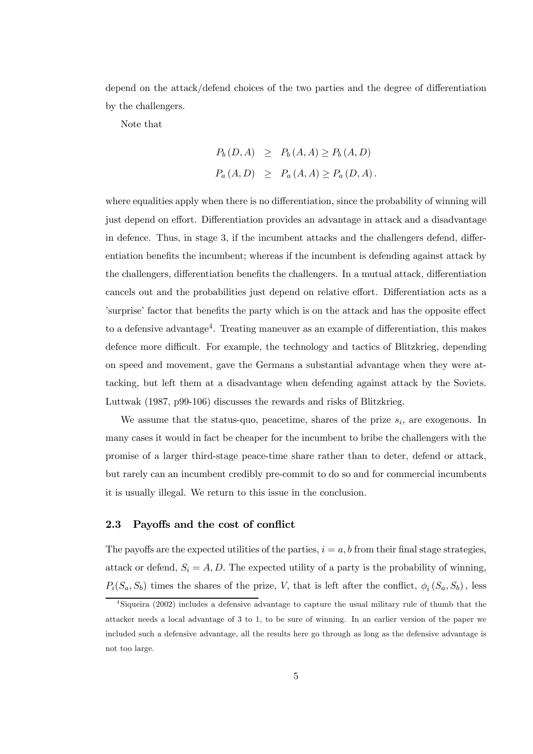depend on the attack/defend choices of the two parties and the degree of differentiation by the challengers.

Note that

$$
P_b(D, A) \ge P_b(A, A) \ge P_b(A, D)
$$
  
 $P_a(A, D) \ge P_a(A, A) \ge P_a(D, A)$ .

where equalities apply when there is no differentiation, since the probability of winning will just depend on effort. Differentiation provides an advantage in attack and a disadvantage in defence. Thus, in stage 3, if the incumbent attacks and the challengers defend, differentiation benefits the incumbent; whereas if the incumbent is defending against attack by the challengers, differentiation benefits the challengers. In a mutual attack, differentiation cancels out and the probabilities just depend on relative effort. Differentiation acts as a ísurpriseí factor that benefits the party which is on the attack and has the opposite effect to a defensive advantage<sup>4</sup>. Treating maneuver as an example of differentiation, this makes defence more difficult. For example, the technology and tactics of Blitzkrieg, depending on speed and movement, gave the Germans a substantial advantage when they were attacking, but left them at a disadvantage when defending against attack by the Soviets. Luttwak (1987, p99-106) discusses the rewards and risks of Blitzkrieg.

We assume that the status-quo, peacetime, shares of the prize  $s_i$ , are exogenous. In many cases it would in fact be cheaper for the incumbent to bribe the challengers with the promise of a larger third-stage peace-time share rather than to deter, defend or attack, but rarely can an incumbent credibly pre-commit to do so and for commercial incumbents it is usually illegal. We return to this issue in the conclusion.

## 2.3 Payoffs and the cost of conflict

The payoffs are the expected utilities of the parties,  $i = a, b$  from their final stage strategies. attack or defend,  $S_i = A, D$ . The expected utility of a party is the probability of winning,  $P_i(S_a, S_b)$  times the shares of the prize, V, that is left after the conflict,  $\phi_i(S_a, S_b)$ , less

<sup>4</sup> Siqueira (2002) includes a defensive advantage to capture the usual military rule of thumb that the attacker needs a local advantage of 3 to 1, to be sure of winning. In an earlier version of the paper we included such a defensive advantage, all the results here go through as long as the defensive advantage is not too large.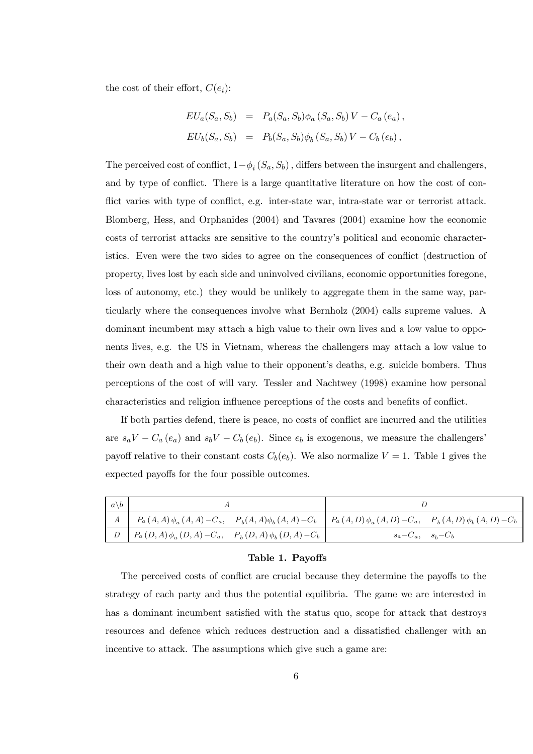the cost of their effort,  $C(e_i)$ :

$$
EU_a(S_a, S_b) = P_a(S_a, S_b) \phi_a(S_a, S_b) V - C_a (e_a),
$$
  
\n
$$
EU_b(S_a, S_b) = P_b(S_a, S_b) \phi_b(S_a, S_b) V - C_b (e_b),
$$

The perceived cost of conflict,  $1-\phi_i(S_a, S_b)$ , differs between the insurgent and challengers, and by type of conflict. There is a large quantitative literature on how the cost of conflict varies with type of conflict, e.g. inter-state war, intra-state war or terrorist attack. Blomberg, Hess, and Orphanides (2004) and Tavares (2004) examine how the economic costs of terrorist attacks are sensitive to the countryís political and economic characteristics. Even were the two sides to agree on the consequences of conflict (destruction of property, lives lost by each side and uninvolved civilians, economic opportunities foregone, loss of autonomy, etc.) they would be unlikely to aggregate them in the same way, particularly where the consequences involve what Bernholz (2004) calls supreme values. A dominant incumbent may attach a high value to their own lives and a low value to opponents lives, e.g. the US in Vietnam, whereas the challengers may attach a low value to their own death and a high value to their opponent's deaths, e.g. suicide bombers. Thus perceptions of the cost of will vary. Tessler and Nachtwey (1998) examine how personal characteristics and religion influence perceptions of the costs and benefits of conflict.

If both parties defend, there is peace, no costs of conflict are incurred and the utilities are  $s_a V - C_a (e_a)$  and  $s_b V - C_b (e_b)$ . Since  $e_b$  is exogenous, we measure the challengers<sup>i</sup> payoff relative to their constant costs  $C_b(e_b)$ . We also normalize  $V = 1$ . Table 1 gives the expected payoffs for the four possible outcomes.

| $a \backslash b$ |                                                                                                                                                                                             |                       |
|------------------|---------------------------------------------------------------------------------------------------------------------------------------------------------------------------------------------|-----------------------|
|                  | $\left.\begin{array}{c c c c c c} & A & P_a(A,A) & \phi_a(A,A) & -C_a, & P_b(A,A) & \phi_b(A,A) & -C_b & P_a(A,D) & \phi_a(A,D) & -C_a, & P_b(A,D) & \phi_b(A,D) & -C_b \end{array}\right.$ |                       |
| $\mathsf{L}$     | $\left[ P_a(D,A) \phi_a(D,A) - C_a, P_b(D,A) \phi_b(D,A) - C_b \right]$                                                                                                                     | $s_a-C_a$ , $s_b-C_b$ |

#### Table 1. Payoffs

The perceived costs of conflict are crucial because they determine the payoffs to the strategy of each party and thus the potential equilibria. The game we are interested in has a dominant incumbent satisfied with the status quo, scope for attack that destroys resources and defence which reduces destruction and a dissatisfied challenger with an incentive to attack. The assumptions which give such a game are: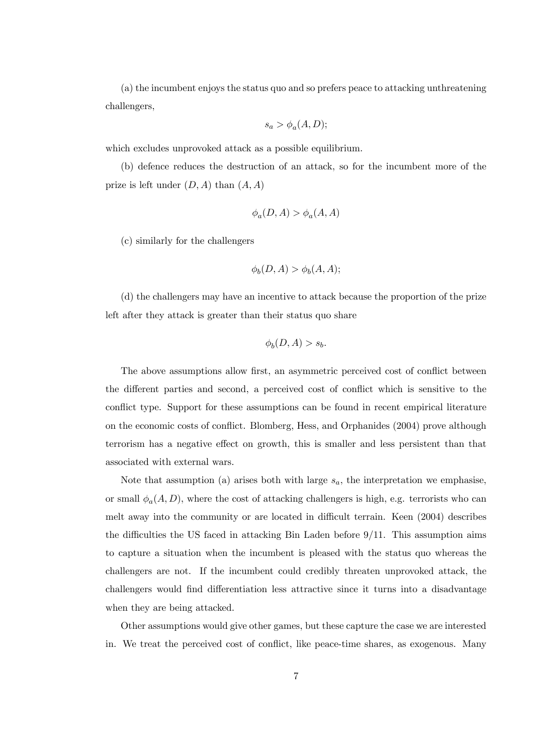(a) the incumbent enjoys the status quo and so prefers peace to attacking unthreatening challengers,

$$
s_a > \phi_a(A, D);
$$

which excludes unprovoked attack as a possible equilibrium.

(b) defence reduces the destruction of an attack, so for the incumbent more of the prize is left under  $(D, A)$  than  $(A, A)$ 

$$
\phi_a(D, A) > \phi_a(A, A)
$$

(c) similarly for the challengers

$$
\phi_b(D, A) > \phi_b(A, A);
$$

(d) the challengers may have an incentive to attack because the proportion of the prize left after they attack is greater than their status quo share

$$
\phi_b(D,A) > s_b.
$$

The above assumptions allow first, an asymmetric perceived cost of conflict between the different parties and second, a perceived cost of conflict which is sensitive to the conflict type. Support for these assumptions can be found in recent empirical literature on the economic costs of conflict. Blomberg, Hess, and Orphanides (2004) prove although terrorism has a negative effect on growth, this is smaller and less persistent than that associated with external wars.

Note that assumption (a) arises both with large  $s_a$ , the interpretation we emphasise, or small  $\phi_a(A, D)$ , where the cost of attacking challengers is high, e.g. terrorists who can melt away into the community or are located in difficult terrain. Keen (2004) describes the difficulties the US faced in attacking Bin Laden before 9/11. This assumption aims to capture a situation when the incumbent is pleased with the status quo whereas the challengers are not. If the incumbent could credibly threaten unprovoked attack, the challengers would find differentiation less attractive since it turns into a disadvantage when they are being attacked.

Other assumptions would give other games, but these capture the case we are interested in. We treat the perceived cost of conflict, like peace-time shares, as exogenous. Many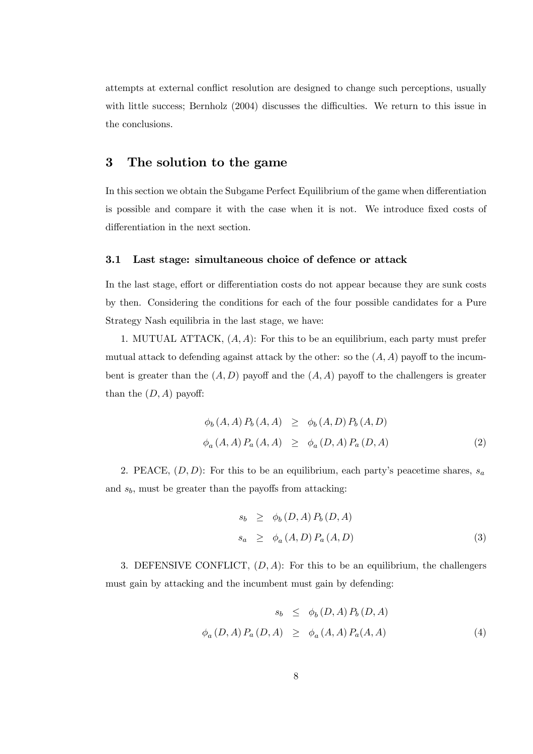attempts at external conflict resolution are designed to change such perceptions, usually with little success; Bernholz (2004) discusses the difficulties. We return to this issue in the conclusions.

## 3 The solution to the game

In this section we obtain the Subgame Perfect Equilibrium of the game when differentiation is possible and compare it with the case when it is not. We introduce fixed costs of differentiation in the next section.

## 3.1 Last stage: simultaneous choice of defence or attack

In the last stage, effort or differentiation costs do not appear because they are sunk costs by then. Considering the conditions for each of the four possible candidates for a Pure Strategy Nash equilibria in the last stage, we have:

1. MUTUAL ATTACK,  $(A, A)$ : For this to be an equilibrium, each party must prefer mutual attack to defending against attack by the other: so the  $(A, A)$  payoff to the incumbent is greater than the  $(A, D)$  payoff and the  $(A, A)$  payoff to the challengers is greater than the  $(D, A)$  payoff:

$$
\begin{aligned}\n\phi_b(A, A) \, P_b(A, A) &\geq \phi_b(A, D) \, P_b(A, D) \\
\phi_a(A, A) \, P_a(A, A) &\geq \phi_a(D, A) \, P_a(D, A)\n\end{aligned} \tag{2}
$$

2. PEACE,  $(D, D)$ : For this to be an equilibrium, each party's peacetime shares,  $s_a$ and  $s_b$ , must be greater than the payoffs from attacking:

$$
s_b \ge \phi_b(D, A) P_b(D, A)
$$
  
\n
$$
s_a \ge \phi_a(A, D) P_a(A, D)
$$
\n(3)

3. DEFENSIVE CONFLICT,  $(D, A)$ : For this to be an equilibrium, the challengers must gain by attacking and the incumbent must gain by defending:

$$
s_b \leq \phi_b(D, A) P_b(D, A)
$$
  

$$
\phi_a(D, A) P_a(D, A) \geq \phi_a(A, A) P_a(A, A)
$$
 (4)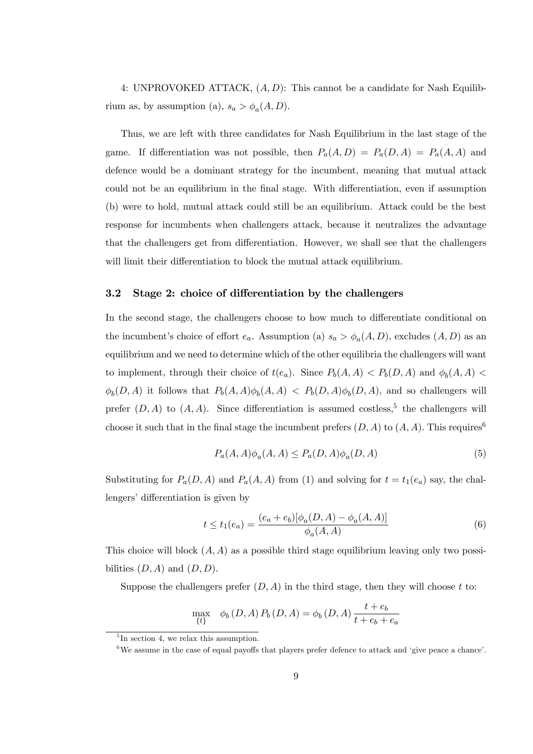4: UNPROVOKED ATTACK,  $(A, D)$ : This cannot be a candidate for Nash Equilibrium as, by assumption (a),  $s_a > \phi_a(A, D)$ .

Thus, we are left with three candidates for Nash Equilibrium in the last stage of the game. If differentiation was not possible, then  $P_a(A, D) = P_a(D, A) = P_a(A, A)$  and defence would be a dominant strategy for the incumbent, meaning that mutual attack could not be an equilibrium in the final stage. With differentiation, even if assumption (b) were to hold, mutual attack could still be an equilibrium. Attack could be the best response for incumbents when challengers attack, because it neutralizes the advantage that the challengers get from differentiation. However, we shall see that the challengers will limit their differentiation to block the mutual attack equilibrium.

## 3.2 Stage 2: choice of differentiation by the challengers

In the second stage, the challengers choose to how much to differentiate conditional on the incumbent's choice of effort  $e_a$ . Assumption (a)  $s_a > \phi_a(A, D)$ , excludes  $(A, D)$  as an equilibrium and we need to determine which of the other equilibria the challengers will want to implement, through their choice of  $t(e_a)$ . Since  $P_b(A, A) < P_b(D, A)$  and  $\phi_b(A, A) <$  $\phi_b(D, A)$  it follows that  $P_b(A, A)\phi_b(A, A) < P_b(D, A)\phi_b(D, A)$ , and so challengers will prefer  $(D, A)$  to  $(A, A)$ . Since differentiation is assumed costless,<sup>5</sup> the challengers will choose it such that in the final stage the incumbent prefers  $(D, A)$  to  $(A, A)$ . This requires<sup>6</sup>

$$
P_a(A, A)\phi_a(A, A) \le P_a(D, A)\phi_a(D, A)
$$
\n<sup>(5)</sup>

Substituting for  $P_a(D, A)$  and  $P_a(A, A)$  from (1) and solving for  $t = t_1(e_a)$  say, the challengers' differentiation is given by

$$
t \le t_1(e_a) = \frac{(e_a + e_b)[\phi_a(D, A) - \phi_a(A, A)]}{\phi_a(A, A)}
$$
(6)

This choice will block  $(A, A)$  as a possible third stage equilibrium leaving only two possibilities  $(D, A)$  and  $(D, D)$ .

Suppose the challengers prefer  $(D, A)$  in the third stage, then they will choose t to:

$$
\max_{\{t\}} \phi_b(D, A) P_b(D, A) = \phi_b(D, A) \frac{t + e_b}{t + e_b + e_a}
$$

<sup>&</sup>lt;sup>5</sup>In section 4, we relax this assumption.

 $6$ We assume in the case of equal payoffs that players prefer defence to attack and 'give peace a chance'.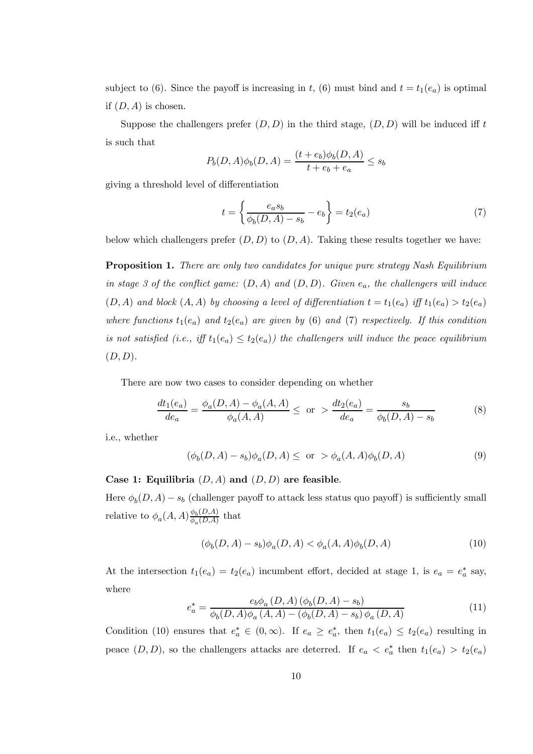subject to (6). Since the payoff is increasing in t, (6) must bind and  $t = t_1(e_a)$  is optimal if  $(D, A)$  is chosen.

Suppose the challengers prefer  $(D, D)$  in the third stage,  $(D, D)$  will be induced iff t is such that

$$
P_b(D, A)\phi_b(D, A) = \frac{(t + e_b)\phi_b(D, A)}{t + e_b + e_a} \le s_b
$$

giving a threshold level of differentiation

$$
t = \left\{ \frac{e_a s_b}{\phi_b(D, A) - s_b} - e_b \right\} = t_2(e_a)
$$
 (7)

below which challengers prefer  $(D, D)$  to  $(D, A)$ . Taking these results together we have:

Proposition 1. *There are only two candidates for unique pure strategy Nash Equilibrium in stage 3 of the con*fl*ict game:* (D, A) *and* (D, D)*. Given* ea*, the challengers will induce*  $(D, A)$  *and block*  $(A, A)$  *by choosing a level of differentiation*  $t = t_1(e_a)$  *iff*  $t_1(e_a) > t_2(e_a)$ *where functions*  $t_1(e_a)$  *and*  $t_2(e_a)$  *are given by* (6) *and* (7) *respectively. If this condition is not satisfied (i.e., iff*  $t_1(e_a) \le t_2(e_a)$ ) the challengers will induce the peace equilibrium (D, D)*.*

There are now two cases to consider depending on whether

$$
\frac{dt_1(e_a)}{de_a} = \frac{\phi_a(D, A) - \phi_a(A, A)}{\phi_a(A, A)} \leq \text{ or } > \frac{dt_2(e_a)}{de_a} = \frac{s_b}{\phi_b(D, A) - s_b}
$$
(8)

i.e., whether

$$
(\phi_b(D, A) - s_b)\phi_a(D, A) \le \text{ or } > \phi_a(A, A)\phi_b(D, A)
$$
\n(9)

#### Case 1: Equilibria  $(D, A)$  and  $(D, D)$  are feasible.

Here  $\phi_b(D, A) - s_b$  (challenger payoff to attack less status quo payoff) is sufficiently small relative to  $\phi_a(A, A) \frac{\phi_b(D, A)}{\phi_a(D, A)}$  $\frac{\varphi_b(D,A)}{\varphi_a(D,A)}$  that

$$
(\phi_b(D,A) - s_b)\phi_a(D,A) < \phi_a(A,A)\phi_b(D,A) \tag{10}
$$

At the intersection  $t_1(e_a) = t_2(e_a)$  incumbent effort, decided at stage 1, is  $e_a = e_a^*$  say, where

$$
e_a^* = \frac{e_b \phi_a(D, A) (\phi_b(D, A) - s_b)}{\phi_b(D, A) \phi_a(A, A) - (\phi_b(D, A) - s_b) \phi_a(D, A)}
$$
(11)

Condition (10) ensures that  $e_a^* \in (0, \infty)$ . If  $e_a \geq e_a^*$ , then  $t_1(e_a) \leq t_2(e_a)$  resulting in peace  $(D, D)$ , so the challengers attacks are deterred. If  $e_a < e_a^*$  then  $t_1(e_a) > t_2(e_a)$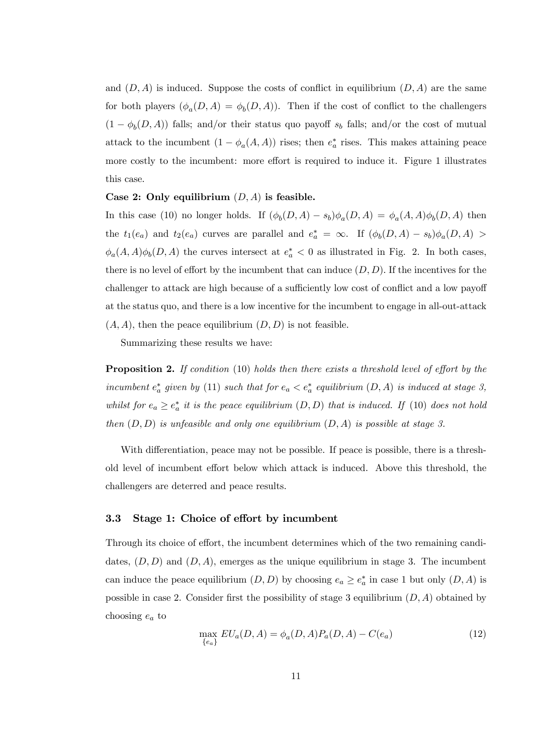and  $(D, A)$  is induced. Suppose the costs of conflict in equilibrium  $(D, A)$  are the same for both players  $(\phi_a(D, A) = \phi_b(D, A))$ . Then if the cost of conflict to the challengers  $(1 - \phi_b(D, A))$  falls; and/or their status quo payoff  $s_b$  falls; and/or the cost of mutual attack to the incumbent  $(1 - \phi_a(A, A))$  rises; then  $e_a^*$  rises. This makes attaining peace more costly to the incumbent: more effort is required to induce it. Figure 1 illustrates this case.

#### Case 2: Only equilibrium  $(D, A)$  is feasible.

In this case (10) no longer holds. If  $(\phi_b(D, A) - s_b)\phi_a(D, A) = \phi_a(A, A)\phi_b(D, A)$  then the  $t_1(e_a)$  and  $t_2(e_a)$  curves are parallel and  $e_a^* = \infty$ . If  $(\phi_b(D, A) - s_b)\phi_a(D, A) >$  $\phi_a(A,A)\phi_b(D,A)$  the curves intersect at  $e_a^* < 0$  as illustrated in Fig. 2. In both cases, there is no level of effort by the incumbent that can induce  $(D, D)$ . If the incentives for the challenger to attack are high because of a sufficiently low cost of conflict and a low payoff at the status quo, and there is a low incentive for the incumbent to engage in all-out-attack  $(A, A)$ , then the peace equilibrium  $(D, D)$  is not feasible.

Summarizing these results we have:

Proposition 2. *If condition* (10) *holds then there exists a threshold level of e*ff*ort by the incumbent*  $e_a^*$  given by (11) such that for  $e_a < e_a^*$  equilibrium  $(D, A)$  *is induced at stage* 3, *whilst for*  $e_a \geq e_a^*$  *it is the peace equilibrium*  $(D, D)$  *that is induced. If* (10) *does not hold then* (D, D) *is unfeasible and only one equilibrium* (D,A) *is possible at stage 3.*

With differentiation, peace may not be possible. If peace is possible, there is a threshold level of incumbent effort below which attack is induced. Above this threshold, the challengers are deterred and peace results.

#### 3.3 Stage 1: Choice of effort by incumbent

Through its choice of effort, the incumbent determines which of the two remaining candidates,  $(D, D)$  and  $(D, A)$ , emerges as the unique equilibrium in stage 3. The incumbent can induce the peace equilibrium  $(D, D)$  by choosing  $e_a \geq e_a^*$  in case 1 but only  $(D, A)$  is possible in case 2. Consider first the possibility of stage 3 equilibrium  $(D, A)$  obtained by choosing  $e_a$  to

$$
\max_{\{e_a\}} EU_a(D, A) = \phi_a(D, A)P_a(D, A) - C(e_a)
$$
\n(12)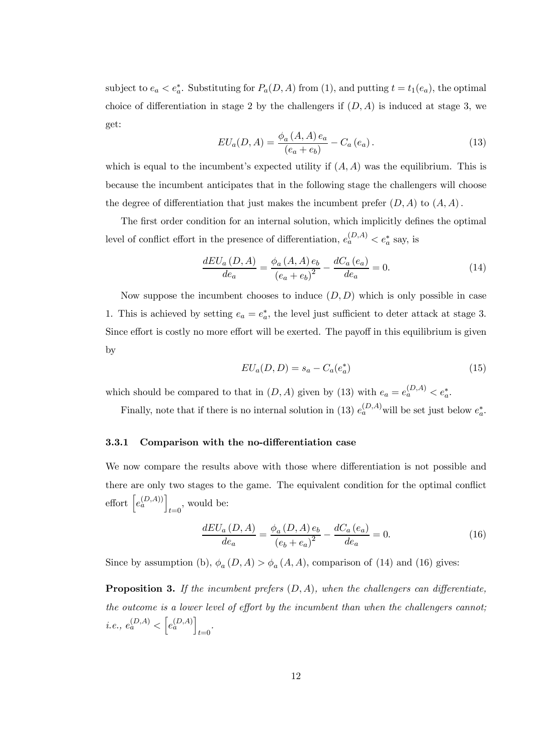subject to  $e_a < e_a^*$ . Substituting for  $P_a(D, A)$  from (1), and putting  $t = t_1(e_a)$ , the optimal choice of differentiation in stage 2 by the challengers if  $(D, A)$  is induced at stage 3, we get:

$$
EU_a(D, A) = \frac{\phi_a(A, A) e_a}{(e_a + e_b)} - C_a(e_a).
$$
 (13)

which is equal to the incumbent's expected utility if  $(A, A)$  was the equilibrium. This is because the incumbent anticipates that in the following stage the challengers will choose the degree of differentiation that just makes the incumbent prefer  $(D, A)$  to  $(A, A)$ .

The first order condition for an internal solution, which implicitly defines the optimal level of conflict effort in the presence of differentiation,  $e_a^{(D,A)} < e_a^*$  say, is

$$
\frac{dEU_a(D,A)}{de_a} = \frac{\phi_a(A,A)e_b}{(e_a + e_b)^2} - \frac{dC_a(e_a)}{de_a} = 0.
$$
 (14)

Now suppose the incumbent chooses to induce  $(D, D)$  which is only possible in case 1. This is achieved by setting  $e_a = e_a^*$ , the level just sufficient to deter attack at stage 3. Since effort is costly no more effort will be exerted. The payoff in this equilibrium is given by

$$
EU_a(D, D) = s_a - C_a(e_a^*)
$$
\n(15)

which should be compared to that in  $(D, A)$  given by (13) with  $e_a = e_a^{(D,A)} < e_a^*$ .

Finally, note that if there is no internal solution in (13)  $e_a^{(D,A)}$  will be set just below  $e_a^*$ .

#### 3.3.1 Comparison with the no-differentiation case

We now compare the results above with those where differentiation is not possible and there are only two stages to the game. The equivalent condition for the optimal conflict effort  $\left[e_a^{(D,A)}\right]$  $_{t=0}$ , would be:

$$
\frac{dEU_a(D,A)}{de_a} = \frac{\phi_a(D,A)e_b}{(e_b + e_a)^2} - \frac{dC_a(e_a)}{de_a} = 0.
$$
 (16)

Since by assumption (b),  $\phi_a(D, A) > \phi_a(A, A)$ , comparison of (14) and (16) gives:

Proposition 3. If the incumbent prefers  $(D, A)$ , when the challengers can differentiate, *the outcome is a lower level of e*ff*ort by the incumbent than when the challengers cannot; i.e.*,  $e_a^{(D,A)} < \left[ e_a^{(D,A)} \right]$ t=0 *.*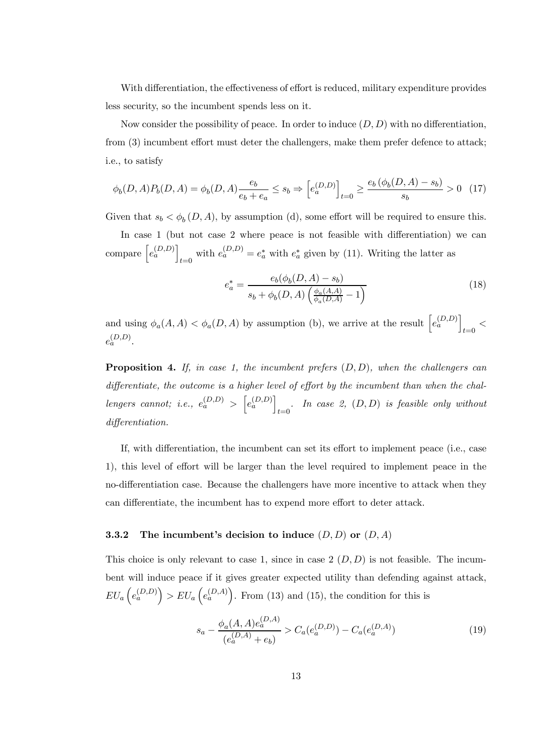With differentiation, the effectiveness of effort is reduced, military expenditure provides less security, so the incumbent spends less on it.

Now consider the possibility of peace. In order to induce  $(D, D)$  with no differentiation, from (3) incumbent effort must deter the challengers, make them prefer defence to attack; i.e., to satisfy

$$
\phi_b(D,A)P_b(D,A) = \phi_b(D,A)\frac{e_b}{e_b + e_a} \le s_b \Rightarrow \left[e_a^{(D,D)}\right]_{t=0} \ge \frac{e_b\left(\phi_b(D,A) - s_b\right)}{s_b} > 0 \quad (17)
$$

Given that  $s_b < \phi_b(D, A)$ , by assumption (d), some effort will be required to ensure this.

In case 1 (but not case 2 where peace is not feasible with differentiation) we can compare  $\left[e_a^{(D,D)}\right]$ with  $e_a^{(D,D)} = e_a^*$  with  $e_a^*$  given by (11). Writing the latter as

$$
e_a^* = \frac{e_b(\phi_b(D, A) - s_b)}{s_b + \phi_b(D, A) \left(\frac{\phi_a(A, A)}{\phi_a(D, A)} - 1\right)}\tag{18}
$$

and using  $\phi_a(A, A) < \phi_a(D, A)$  by assumption (b), we arrive at the result  $\left[ e_a^{(D,D)} \right]$  $_{t=0}$  <  $e_a^{(D,D)}$ .

Proposition 4. *If, in case 1, the incumbent prefers* (D, D)*, when the challengers can di*ff*erentiate, the outcome is a higher level of e*ff*ort by the incumbent than when the chal* $length\space\emph{lengers}$  cannot; i.e.,  $e_a^{(D,D)} > \left[e_a^{(D,D)}\right]$ t=0 *. In case 2,* (D, D) *is feasible only without di*ff*erentiation.*

If, with differentiation, the incumbent can set its effort to implement peace (i.e., case 1), this level of effort will be larger than the level required to implement peace in the no-differentiation case. Because the challengers have more incentive to attack when they can differentiate, the incumbent has to expend more effort to deter attack.

### 3.3.2 The incumbent's decision to induce  $(D, D)$  or  $(D, A)$

This choice is only relevant to case 1, since in case  $2(D, D)$  is not feasible. The incumbent will induce peace if it gives greater expected utility than defending against attack,  $EU_a\left(e_a^{(D,D)}\right) > EU_a\left(e_a^{(D,A)}\right)$ . From (13) and (15), the condition for this is

$$
s_a - \frac{\phi_a(A, A)e_a^{(D, A)}}{(e_a^{(D, A)} + e_b)} > C_a(e_a^{(D, D)}) - C_a(e_a^{(D, A)})
$$
\n(19)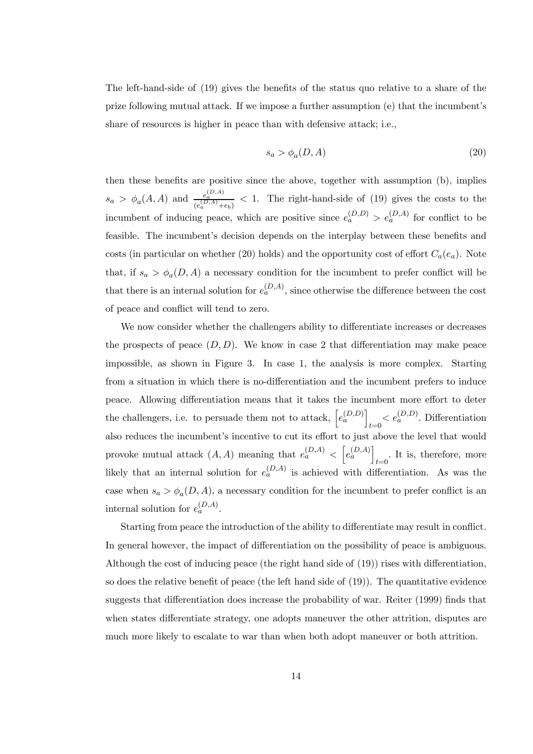The left-hand-side of (19) gives the benefits of the status quo relative to a share of the prize following mutual attack. If we impose a further assumption (e) that the incumbentís share of resources is higher in peace than with defensive attack; i.e.,

$$
s_a > \phi_a(D, A) \tag{20}
$$

then these benefits are positive since the above, together with assumption (b), implies  $s_a > \phi_a(A, A)$  and  $\frac{e_a^{(D, A)}}{e^{(D, A)}}$  $\frac{e_a}{(e_a^{(D,A)}+e_b)} < 1$ . The right-hand-side of (19) gives the costs to the incumbent of inducing peace, which are positive since  $e_a^{(D,D)} > e_a^{(D,A)}$  for conflict to be feasible. The incumbent's decision depends on the interplay between these benefits and costs (in particular on whether (20) holds) and the opportunity cost of effort  $C_a(e_a)$ . Note that, if  $s_a > \phi_a(D, A)$  a necessary condition for the incumbent to prefer conflict will be that there is an internal solution for  $e_a^{(D,A)}$ , since otherwise the difference between the cost of peace and conflict will tend to zero.

We now consider whether the challengers ability to differentiate increases or decreases the prospects of peace  $(D, D)$ . We know in case 2 that differentiation may make peace impossible, as shown in Figure 3. In case 1, the analysis is more complex. Starting from a situation in which there is no-differentiation and the incumbent prefers to induce peace. Allowing differentiation means that it takes the incumbent more effort to deter the challengers, i.e. to persuade them not to attack,  $\left[e_a^{(D,D)}\right]$  $t=0$   $\lt e_a^{(D,D)}$ . Differentiation also reduces the incumbent's incentive to cut its effort to just above the level that would provoke mutual attack  $(A, A)$  meaning that  $e_a^{(D,A)} \langle [e_a^{(D,A)}] \rangle$  $t=0$ . It is, therefore, more likely that an internal solution for  $e_a^{(D,A)}$  is achieved with differentiation. As was the case when  $s_a > \phi_a(D, A)$ , a necessary condition for the incumbent to prefer conflict is an internal solution for  $e_a^{(D,A)}$ .

Starting from peace the introduction of the ability to differentiate may result in conflict. In general however, the impact of differentiation on the possibility of peace is ambiguous. Although the cost of inducing peace (the right hand side of (19)) rises with differentiation, so does the relative benefit of peace (the left hand side of  $(19)$ ). The quantitative evidence suggests that differentiation does increase the probability of war. Reiter (1999) finds that when states differentiate strategy, one adopts maneuver the other attrition, disputes are much more likely to escalate to war than when both adopt maneuver or both attrition.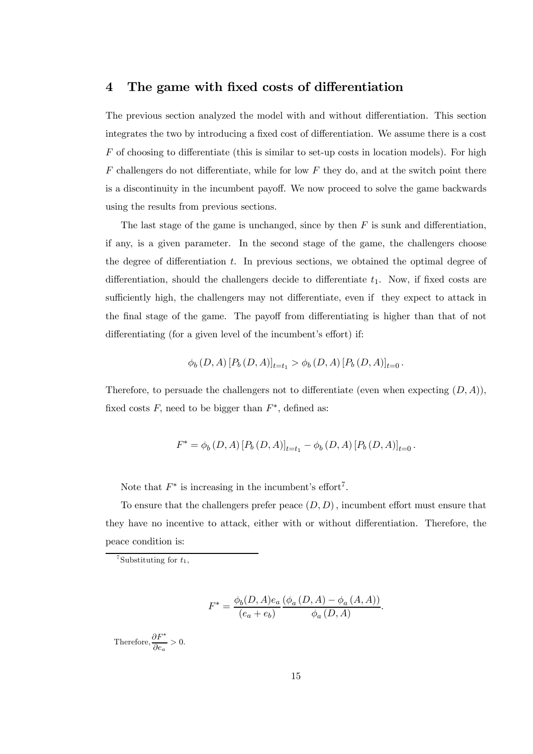## 4 The game with fixed costs of differentiation

The previous section analyzed the model with and without differentiation. This section integrates the two by introducing a fixed cost of differentiation. We assume there is a cost  $F$  of choosing to differentiate (this is similar to set-up costs in location models). For high  $F$  challengers do not differentiate, while for low  $F$  they do, and at the switch point there is a discontinuity in the incumbent payoff. We now proceed to solve the game backwards using the results from previous sections.

The last stage of the game is unchanged, since by then  $F$  is sunk and differentiation, if any, is a given parameter. In the second stage of the game, the challengers choose the degree of differentiation  $t$ . In previous sections, we obtained the optimal degree of differentiation, should the challengers decide to differentiate  $t_1$ . Now, if fixed costs are sufficiently high, the challengers may not differentiate, even if they expect to attack in the final stage of the game. The payoff from differentiating is higher than that of not differentiating (for a given level of the incumbent's effort) if:

$$
\phi_b(D, A) [P_b(D, A)]_{t=t_1} > \phi_b(D, A) [P_b(D, A)]_{t=0}.
$$

Therefore, to persuade the challengers not to differentiate (even when expecting  $(D, A)$ ), fixed costs  $F$ , need to be bigger than  $F^*$ , defined as:

$$
F^* = \phi_b(D, A) [P_b(D, A)]_{t=t_1} - \phi_b(D, A) [P_b(D, A)]_{t=0}.
$$

Note that  $F^*$  is increasing in the incumbent's effort<sup>7</sup>.

To ensure that the challengers prefer peace  $(D, D)$ , incumbent effort must ensure that they have no incentive to attack, either with or without differentiation. Therefore, the peace condition is:

$$
F^* = \frac{\phi_b(D, A)e_a}{(e_a + e_b)} \frac{(\phi_a(D, A) - \phi_a(A, A))}{\phi_a(D, A)}.
$$

Therefore,  $\frac{\partial F^*}{\partial e_a} > 0$ .

<sup>&</sup>lt;sup>7</sup>Substituting for  $t_1$ ,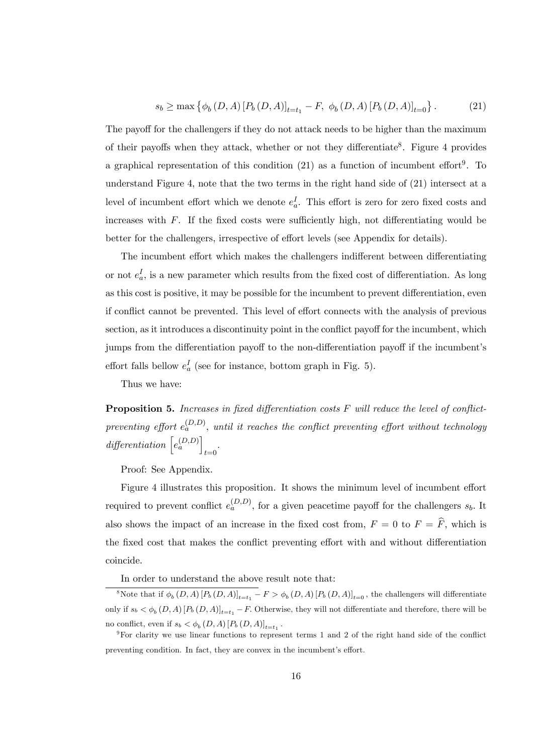$$
s_b \ge \max\left\{\phi_b(D,A) \left[ P_b(D,A) \right]_{t=t_1} - F, \ \phi_b(D,A) \left[ P_b(D,A) \right]_{t=0} \right\}.
$$
 (21)

The payoff for the challengers if they do not attack needs to be higher than the maximum of their payoffs when they attack, whether or not they differentiate<sup>8</sup>. Figure 4 provides a graphical representation of this condition  $(21)$  as a function of incumbent effort<sup>9</sup>. To understand Figure 4, note that the two terms in the right hand side of (21) intersect at a level of incumbent effort which we denote  $e_a^I$ . This effort is zero for zero fixed costs and increases with  $F$ . If the fixed costs were sufficiently high, not differentiating would be better for the challengers, irrespective of effort levels (see Appendix for details).

The incumbent effort which makes the challengers indifferent between differentiating or not  $e_a^I$ , is a new parameter which results from the fixed cost of differentiation. As long as this cost is positive, it may be possible for the incumbent to prevent differentiation, even if conflict cannot be prevented. This level of effort connects with the analysis of previous section, as it introduces a discontinuity point in the conflict payoff for the incumbent, which jumps from the differentiation payoff to the non-differentiation payoff if the incumbent's effort falls bellow  $e_a^I$  (see for instance, bottom graph in Fig. 5).

Thus we have:

Proposition 5. *Increases in* fi*xed di*ff*erentiation costs* F *will reduce the level of con*fl*ict* $preventing$  effort  $e_a^{(D,D)}$ , *until it reaches the conflict preventing effort without technology*  $differential$   $\left[e_a^{(D,D)}\right]$ t=0 *.*

Proof: See Appendix.

Figure 4 illustrates this proposition. It shows the minimum level of incumbent effort required to prevent conflict  $e_a^{(D,D)}$ , for a given peacetime payoff for the challengers  $s_b$ . It also shows the impact of an increase in the fixed cost from,  $F = 0$  to  $F = \hat{F}$ , which is the fixed cost that makes the conflict preventing effort with and without differentiation coincide.

In order to understand the above result note that:

<sup>&</sup>lt;sup>8</sup>Note that if  $\phi_b(D, A)$   $[P_b(D, A)]_{t=t_1} - F > \phi_b(D, A)$   $[P_b(D, A)]_{t=0}$ , the challengers will differentiate only if  $s_b < \phi_b(D, A)$   $[P_b(D, A)]_{t=t_1} - F$ . Otherwise, they will not differentiate and therefore, there will be no conflict, even if  $s_b < \phi_b(D, A)$   $[P_b(D, A)]_{t=t_1}$ .

 $9$ For clarity we use linear functions to represent terms 1 and 2 of the right hand side of the conflict preventing condition. In fact, they are convex in the incumbent's effort.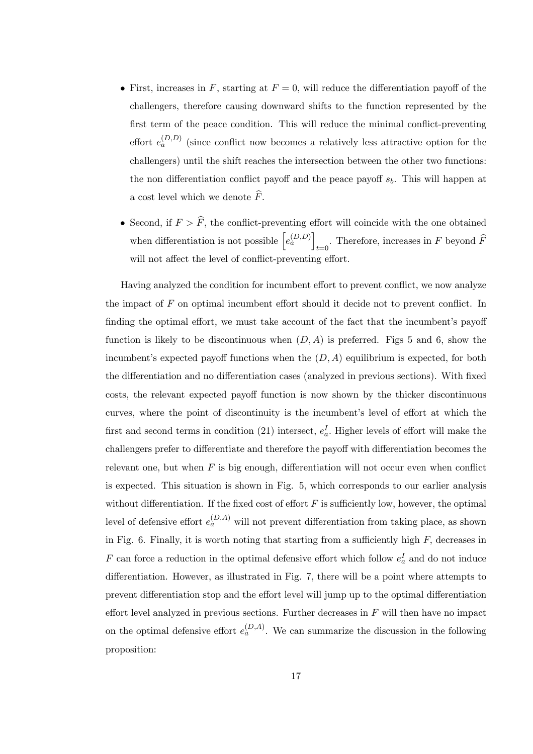- First, increases in F, starting at  $F = 0$ , will reduce the differentiation payoff of the challengers, therefore causing downward shifts to the function represented by the first term of the peace condition. This will reduce the minimal conflict-preventing effort  $e_a^{(D,D)}$  (since conflict now becomes a relatively less attractive option for the challengers) until the shift reaches the intersection between the other two functions: the non differentiation conflict payoff and the peace payoff  $s<sub>b</sub>$ . This will happen at a cost level which we denote  $\widehat{F}$ .
- Second, if  $F > \hat{F}$ , the conflict-preventing effort will coincide with the one obtained when differentiation is not possible  $\left[e_a^{(D,D)}\right]$ . Therefore, increases in F beyond F will not affect the level of conflict-preventing effort.

Having analyzed the condition for incumbent effort to prevent conflict, we now analyze the impact of  $F$  on optimal incumbent effort should it decide not to prevent conflict. In finding the optimal effort, we must take account of the fact that the incumbent's payoff function is likely to be discontinuous when  $(D, A)$  is preferred. Figs 5 and 6, show the incumbent's expected payoff functions when the  $(D, A)$  equilibrium is expected, for both the differentiation and no differentiation cases (analyzed in previous sections). With fixed costs, the relevant expected payoff function is now shown by the thicker discontinuous curves, where the point of discontinuity is the incumbent's level of effort at which the first and second terms in condition (21) intersect,  $e_a^I$ . Higher levels of effort will make the challengers prefer to differentiate and therefore the payoff with differentiation becomes the relevant one, but when  $F$  is big enough, differentiation will not occur even when conflict is expected. This situation is shown in Fig. 5, which corresponds to our earlier analysis without differentiation. If the fixed cost of effort  $F$  is sufficiently low, however, the optimal level of defensive effort  $e_a^{(D,A)}$  will not prevent differentiation from taking place, as shown in Fig. 6. Finally, it is worth noting that starting from a sufficiently high  $F$ , decreases in F can force a reduction in the optimal defensive effort which follow  $e_a^I$  and do not induce differentiation. However, as illustrated in Fig. 7, there will be a point where attempts to prevent differentiation stop and the effort level will jump up to the optimal differentiation effort level analyzed in previous sections. Further decreases in  $F$  will then have no impact on the optimal defensive effort  $e_a^{(D,A)}$ . We can summarize the discussion in the following proposition: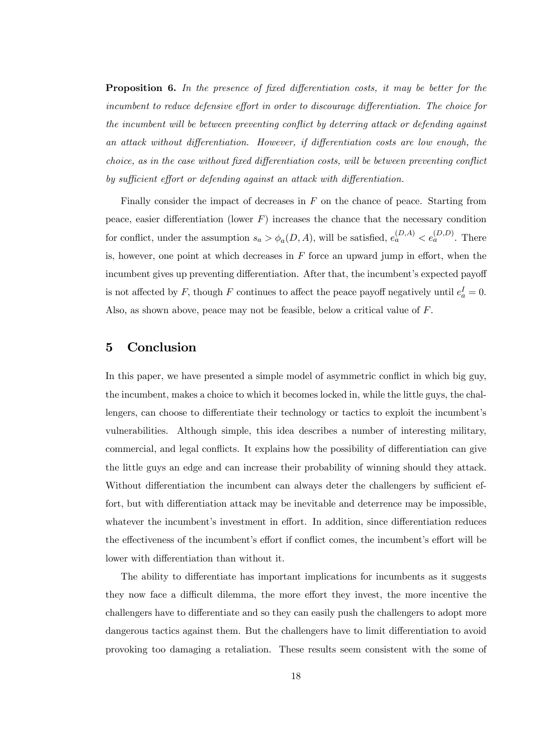Proposition 6. *In the presence of* fi*xed di*ff*erentiation costs, it may be better for the incumbent to reduce defensive e*ff*ort in order to discourage di*ff*erentiation. The choice for the incumbent will be between preventing con*fl*ict by deterring attack or defending against an attack without di*ff*erentiation. However, if di*ff*erentiation costs are low enough, the choice, as in the case without* fi*xed di*ff*erentiation costs, will be between preventing con*fl*ict by su*ffi*cient e*ff*ort or defending against an attack with di*ff*erentiation.*

Finally consider the impact of decreases in  $F$  on the chance of peace. Starting from peace, easier differentiation (lower  $F$ ) increases the chance that the necessary condition for conflict, under the assumption  $s_a > \phi_a(D, A)$ , will be satisfied,  $e_a^{(D, A)} < e_a^{(D, D)}$ . There is, however, one point at which decreases in  $F$  force an upward jump in effort, when the incumbent gives up preventing differentiation. After that, the incumbent's expected payoff is not affected by F, though F continues to affect the peace payoff negatively until  $e_a^I = 0$ . Also, as shown above, peace may not be feasible, below a critical value of F.

## 5 Conclusion

In this paper, we have presented a simple model of asymmetric conflict in which big guy, the incumbent, makes a choice to which it becomes locked in, while the little guys, the challengers, can choose to differentiate their technology or tactics to exploit the incumbentís vulnerabilities. Although simple, this idea describes a number of interesting military, commercial, and legal conflicts. It explains how the possibility of differentiation can give the little guys an edge and can increase their probability of winning should they attack. Without differentiation the incumbent can always deter the challengers by sufficient effort, but with differentiation attack may be inevitable and deterrence may be impossible, whatever the incumbent's investment in effort. In addition, since differentiation reduces the effectiveness of the incumbent's effort if conflict comes, the incumbent's effort will be lower with differentiation than without it.

The ability to differentiate has important implications for incumbents as it suggests they now face a difficult dilemma, the more effort they invest, the more incentive the challengers have to differentiate and so they can easily push the challengers to adopt more dangerous tactics against them. But the challengers have to limit differentiation to avoid provoking too damaging a retaliation. These results seem consistent with the some of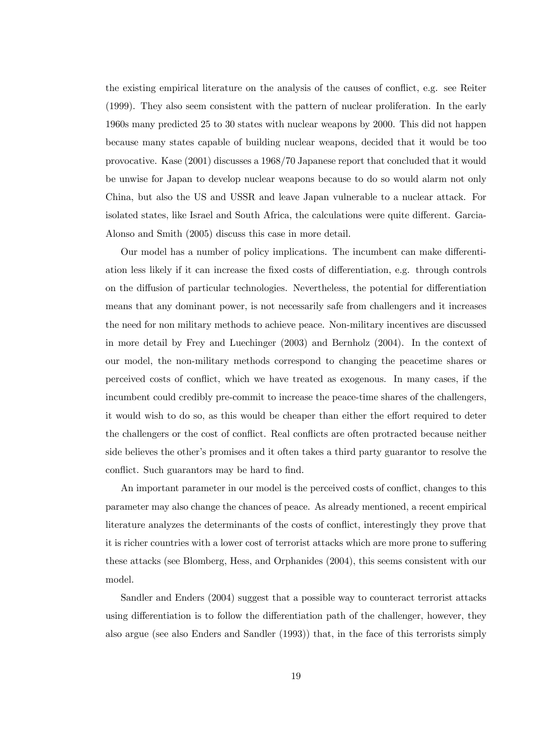the existing empirical literature on the analysis of the causes of conflict, e.g. see Reiter (1999). They also seem consistent with the pattern of nuclear proliferation. In the early 1960s many predicted 25 to 30 states with nuclear weapons by 2000. This did not happen because many states capable of building nuclear weapons, decided that it would be too provocative. Kase (2001) discusses a 1968/70 Japanese report that concluded that it would be unwise for Japan to develop nuclear weapons because to do so would alarm not only China, but also the US and USSR and leave Japan vulnerable to a nuclear attack. For isolated states, like Israel and South Africa, the calculations were quite different. Garcia-Alonso and Smith (2005) discuss this case in more detail.

Our model has a number of policy implications. The incumbent can make differentiation less likely if it can increase the fixed costs of differentiation, e.g. through controls on the diffusion of particular technologies. Nevertheless, the potential for differentiation means that any dominant power, is not necessarily safe from challengers and it increases the need for non military methods to achieve peace. Non-military incentives are discussed in more detail by Frey and Luechinger (2003) and Bernholz (2004). In the context of our model, the non-military methods correspond to changing the peacetime shares or perceived costs of conflict, which we have treated as exogenous. In many cases, if the incumbent could credibly pre-commit to increase the peace-time shares of the challengers, it would wish to do so, as this would be cheaper than either the effort required to deter the challengers or the cost of conflict. Real conflicts are often protracted because neither side believes the other's promises and it often takes a third party guarantor to resolve the conflict. Such guarantors may be hard to find.

An important parameter in our model is the perceived costs of conflict, changes to this parameter may also change the chances of peace. As already mentioned, a recent empirical literature analyzes the determinants of the costs of conflict, interestingly they prove that it is richer countries with a lower cost of terrorist attacks which are more prone to suffering these attacks (see Blomberg, Hess, and Orphanides (2004), this seems consistent with our model.

Sandler and Enders (2004) suggest that a possible way to counteract terrorist attacks using differentiation is to follow the differentiation path of the challenger, however, they also argue (see also Enders and Sandler (1993)) that, in the face of this terrorists simply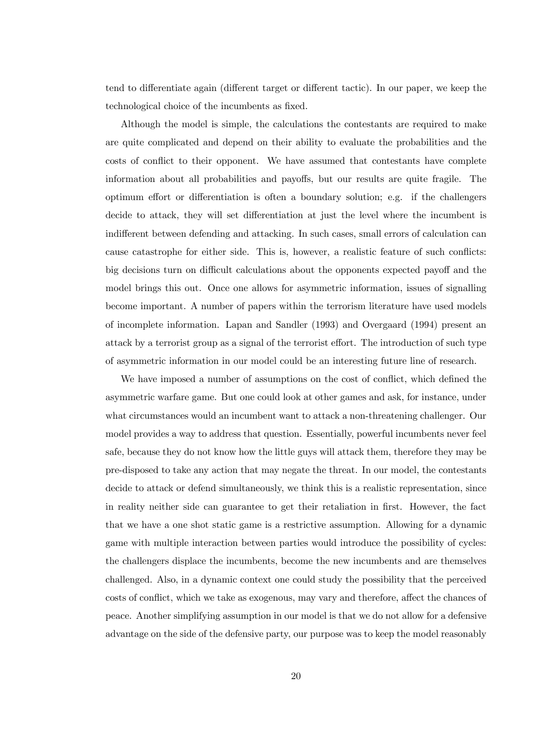tend to differentiate again (different target or different tactic). In our paper, we keep the technological choice of the incumbents as fixed.

Although the model is simple, the calculations the contestants are required to make are quite complicated and depend on their ability to evaluate the probabilities and the costs of conflict to their opponent. We have assumed that contestants have complete information about all probabilities and payoffs, but our results are quite fragile. The optimum effort or differentiation is often a boundary solution; e.g. if the challengers decide to attack, they will set differentiation at just the level where the incumbent is indifferent between defending and attacking. In such cases, small errors of calculation can cause catastrophe for either side. This is, however, a realistic feature of such conflicts: big decisions turn on difficult calculations about the opponents expected payoff and the model brings this out. Once one allows for asymmetric information, issues of signalling become important. A number of papers within the terrorism literature have used models of incomplete information. Lapan and Sandler (1993) and Overgaard (1994) present an attack by a terrorist group as a signal of the terrorist effort. The introduction of such type of asymmetric information in our model could be an interesting future line of research.

We have imposed a number of assumptions on the cost of conflict, which defined the asymmetric warfare game. But one could look at other games and ask, for instance, under what circumstances would an incumbent want to attack a non-threatening challenger. Our model provides a way to address that question. Essentially, powerful incumbents never feel safe, because they do not know how the little guys will attack them, therefore they may be pre-disposed to take any action that may negate the threat. In our model, the contestants decide to attack or defend simultaneously, we think this is a realistic representation, since in reality neither side can guarantee to get their retaliation in first. However, the fact that we have a one shot static game is a restrictive assumption. Allowing for a dynamic game with multiple interaction between parties would introduce the possibility of cycles: the challengers displace the incumbents, become the new incumbents and are themselves challenged. Also, in a dynamic context one could study the possibility that the perceived costs of conflict, which we take as exogenous, may vary and therefore, affect the chances of peace. Another simplifying assumption in our model is that we do not allow for a defensive advantage on the side of the defensive party, our purpose was to keep the model reasonably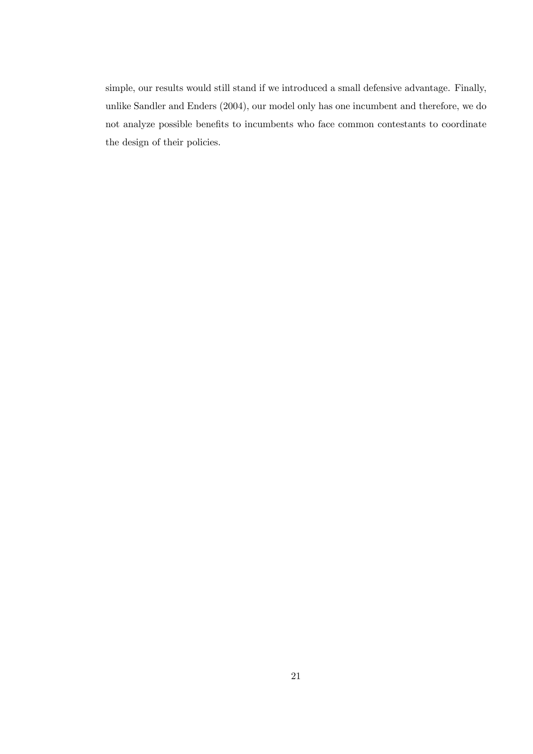simple, our results would still stand if we introduced a small defensive advantage. Finally, unlike Sandler and Enders (2004), our model only has one incumbent and therefore, we do not analyze possible benefits to incumbents who face common contestants to coordinate the design of their policies.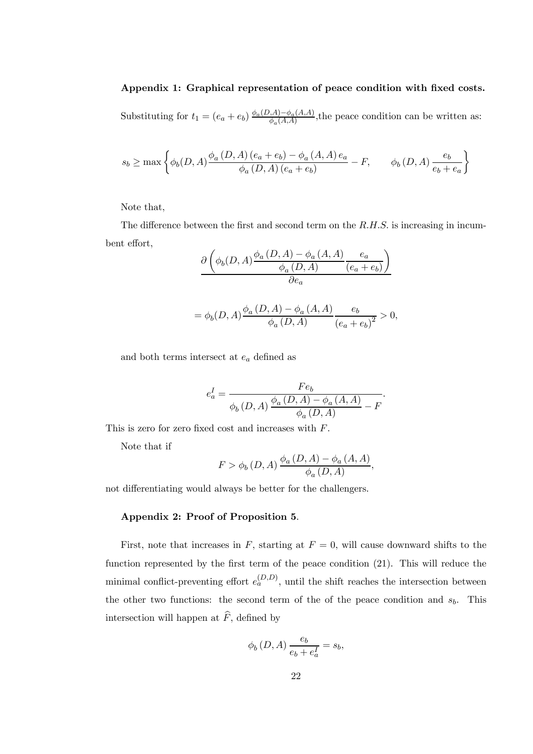## Appendix 1: Graphical representation of peace condition with fixed costs.

Substituting for  $t_1 = (e_a + e_b) \frac{\phi_a(D,A) - \phi_a(A,A)}{\phi_a(A,A)}$  $\frac{d_1(A,A)-\phi_a(A,A)}{\phi_a(A,A)}$ , the peace condition can be written as:

$$
s_b \ge \max\left\{\phi_b(D,A)\frac{\phi_a\left(D,A\right)\left(e_a+e_b\right)-\phi_a\left(A,A\right)e_a}{\phi_a\left(D,A\right)\left(e_a+e_b\right)}-F,\qquad \phi_b\left(D,A\right)\frac{e_b}{e_b+e_a}\right\}
$$

Note that,

The difference between the first and second term on the  $R.H.S.$  is increasing in incumbent effort,

$$
\frac{\partial \left(\phi_b(D,A)\frac{\phi_a(D,A) - \phi_a(A,A)}{\phi_a(D,A)}\frac{e_a}{(e_a + e_b)}\right)}{\partial e_a}
$$

$$
= \phi_b(D,A)\frac{\phi_a(D,A) - \phi_a(A,A)}{\phi_a(D,A)}\frac{e_b}{(e_a + e_b)^2} > 0,
$$

and both terms intersect at  $e_a$  defined as

$$
e_{a}^{I}=\frac{Fe_{b}}{\phi_{b}\left(D,A\right)\frac{\phi_{a}\left(D,A\right)-\phi_{a}\left(A,A\right)}{\phi_{a}\left(D,A\right)}-F}.
$$

This is zero for zero fixed cost and increases with F.

Note that if

$$
F > \phi_b(D, A) \frac{\phi_a(D, A) - \phi_a(A, A)}{\phi_a(D, A)},
$$

not differentiating would always be better for the challengers.

### Appendix 2: Proof of Proposition 5.

First, note that increases in  $F$ , starting at  $F = 0$ , will cause downward shifts to the function represented by the first term of the peace condition (21). This will reduce the minimal conflict-preventing effort  $e_a^{(D,D)}$ , until the shift reaches the intersection between the other two functions: the second term of the of the peace condition and  $s_b$ . This intersection will happen at  $\widehat{F}$ , defined by

$$
\phi_b(D, A) \frac{e_b}{e_b + e_a^I} = s_b,
$$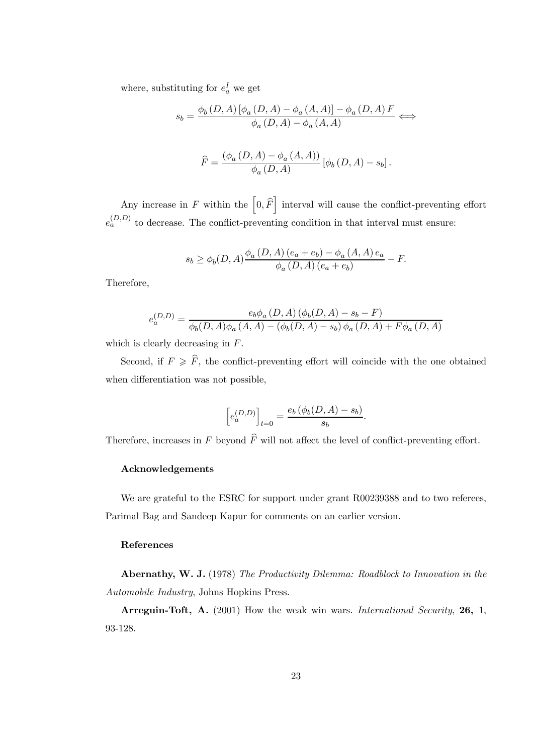where, substituting for  $e_a^I$  we get

$$
s_{b} = \frac{\phi_{b}\left(D,A\right)\left[\phi_{a}\left(D,A\right) - \phi_{a}\left(A,A\right)\right] - \phi_{a}\left(D,A\right)F}{\phi_{a}\left(D,A\right) - \phi_{a}\left(A,A\right)}
$$

$$
\widehat{F} = \frac{\left(\phi_{a}\left(D,A\right) - \phi_{a}\left(A,A\right)\right)}{\phi_{a}\left(D,A\right)}\left[\phi_{b}\left(D,A\right) - s_{b}\right].
$$

Any increase in F within the  $\left[0,\widehat{F}\right]$  interval will cause the conflict-preventing effort  $e_a^{(D,D)}$  to decrease. The conflict-preventing condition in that interval must ensure:

$$
s_b \ge \phi_b(D, A) \frac{\phi_a(D, A) (e_a + e_b) - \phi_a(A, A) e_a}{\phi_a(D, A) (e_a + e_b)} - F.
$$

Therefore,

$$
e_a^{(D,D)} = \frac{e_b \phi_a(D,A) (\phi_b(D,A) - s_b - F)}{\phi_b(D,A) \phi_a(A,A) - (\phi_b(D,A) - s_b) \phi_a(D,A) + F \phi_a(D,A)}
$$

which is clearly decreasing in F.

Second, if  $F \geqslant \widehat{F}$ , the conflict-preventing effort will coincide with the one obtained when differentiation was not possible,

$$
\[e_a^{(D,D)}\]_{t=0} = \frac{e_b\left(\phi_b(D,A) - s_b\right)}{s_b}.
$$

Therefore, increases in F beyond  $\widehat{F}$  will not affect the level of conflict-preventing effort.

#### Acknowledgements

We are grateful to the ESRC for support under grant R00239388 and to two referees, Parimal Bag and Sandeep Kapur for comments on an earlier version.

## References

Abernathy, W. J. (1978) *The Productivity Dilemma: Roadblock to Innovation in the Automobile Industry*, Johns Hopkins Press.

Arreguin-Toft, A. (2001) How the weak win wars. *International Security*, 26, 1, 93-128.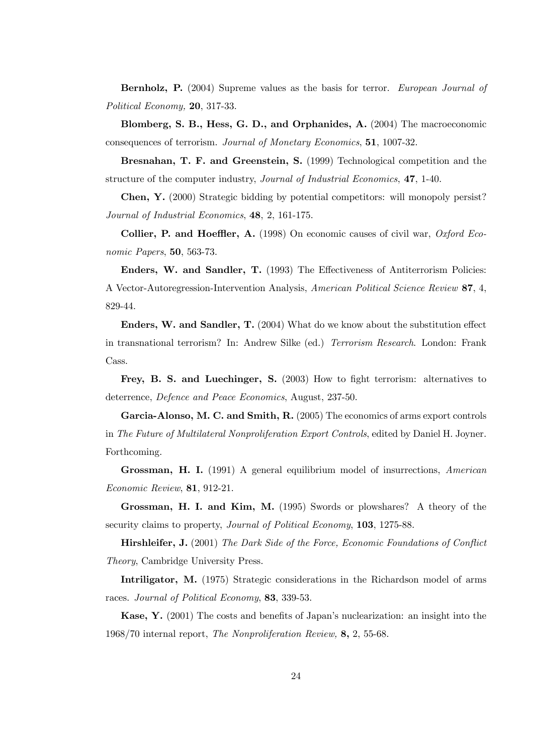Bernholz, P. (2004) Supreme values as the basis for terror. *European Journal of Political Economy,* 20, 317-33.

Blomberg, S. B., Hess, G. D., and Orphanides, A. (2004) The macroeconomic consequences of terrorism. *Journal of Monetary Economics*, 51, 1007-32.

Bresnahan, T. F. and Greenstein, S. (1999) Technological competition and the structure of the computer industry, *Journal of Industrial Economics*, 47, 1-40.

Chen, Y. (2000) Strategic bidding by potential competitors: will monopoly persist? *Journal of Industrial Economics*, 48, 2, 161-175.

Collier, P. and Hoeffler, A. (1998) On economic causes of civil war, *Oxford Economic Papers*, 50, 563-73.

Enders, W. and Sandler, T. (1993) The Effectiveness of Antiterrorism Policies: A Vector-Autoregression-Intervention Analysis, *American Political Science Review* 87, 4, 829-44.

Enders, W. and Sandler, T. (2004) What do we know about the substitution effect in transnational terrorism? In: Andrew Silke (ed.) *Terrorism Research*. London: Frank Cass.

Frey, B. S. and Luechinger, S. (2003) How to fight terrorism: alternatives to deterrence, *Defence and Peace Economics*, August, 237-50.

Garcia-Alonso, M. C. and Smith, R. (2005) The economics of arms export controls in *The Future of Multilateral Nonproliferation Export Controls*, edited by Daniel H. Joyner. Forthcoming.

Grossman, H. I. (1991) A general equilibrium model of insurrections, *American Economic Review*, 81, 912-21.

Grossman, H. I. and Kim, M. (1995) Swords or plowshares? A theory of the security claims to property, *Journal of Political Economy*, 103, 1275-88.

Hirshleifer, J. (2001) *The Dark Side of the Force, Economic Foundations of Con*fl*ict Theory*, Cambridge University Press.

Intriligator, M. (1975) Strategic considerations in the Richardson model of arms races. *Journal of Political Economy*, 83, 339-53.

Kase, Y. (2001) The costs and benefits of Japan's nuclearization: an insight into the 1968/70 internal report, *The Nonproliferation Review,* 8, 2, 55-68.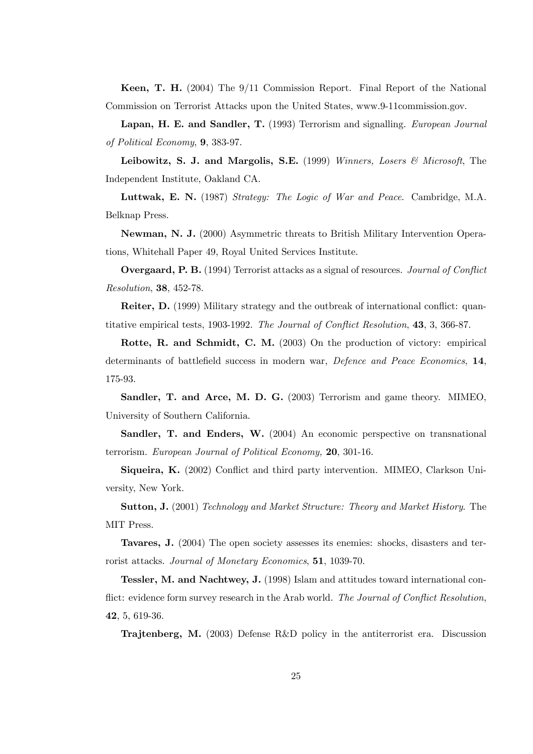Keen, T. H. (2004) The 9/11 Commission Report. Final Report of the National Commission on Terrorist Attacks upon the United States, www.9-11commission.gov.

Lapan, H. E. and Sandler, T. (1993) Terrorism and signalling. *European Journal of Political Economy*, 9, 383-97.

Leibowitz, S. J. and Margolis, S.E. (1999) *Winners, Losers & Microsoft*, The Independent Institute, Oakland CA.

Luttwak, E. N. (1987) *Strategy: The Logic of War and Peace*. Cambridge, M.A. Belknap Press.

Newman, N. J. (2000) Asymmetric threats to British Military Intervention Operations, Whitehall Paper 49, Royal United Services Institute.

Overgaard, P. B. (1994) Terrorist attacks as a signal of resources. *Journal of Con*fl*ict Resolution*, 38, 452-78.

Reiter, D. (1999) Military strategy and the outbreak of international conflict: quantitative empirical tests, 1903-1992. *The Journal of Con*fl*ict Resolution*, 43, 3, 366-87.

Rotte, R. and Schmidt, C. M. (2003) On the production of victory: empirical determinants of battlefield success in modern war, *Defence and Peace Economics*, 14, 175-93.

Sandler, T. and Arce, M. D. G. (2003) Terrorism and game theory. MIMEO, University of Southern California.

Sandler, T. and Enders, W. (2004) An economic perspective on transnational terrorism. *European Journal of Political Economy,* 20, 301-16.

Siqueira, K. (2002) Conflict and third party intervention. MIMEO, Clarkson University, New York.

Sutton, J. (2001) *Technology and Market Structure: Theory and Market History*. The MIT Press.

Tavares, J. (2004) The open society assesses its enemies: shocks, disasters and terrorist attacks. *Journal of Monetary Economics*, 51, 1039-70.

Tessler, M. and Nachtwey, J. (1998) Islam and attitudes toward international conflict: evidence form survey research in the Arab world. *The Journal of Con*fl*ict Resolution*, 42, 5, 619-36.

Trajtenberg, M. (2003) Defense R&D policy in the antiterrorist era. Discussion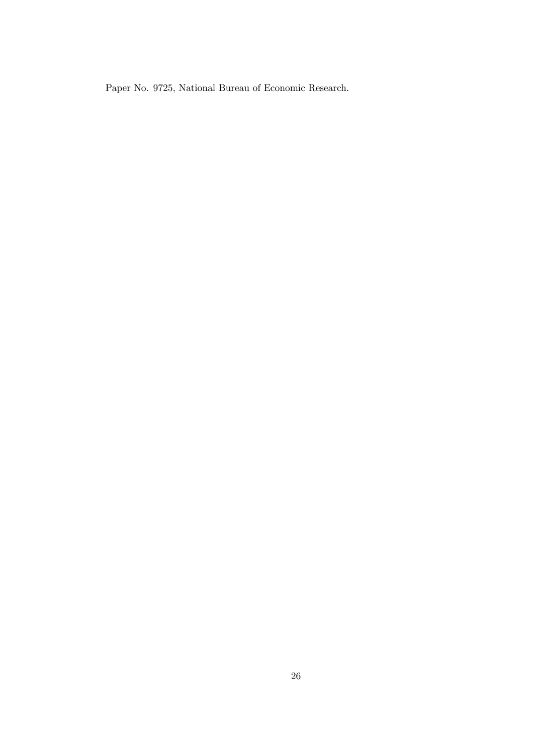Paper No. 9725, National Bureau of Economic Research.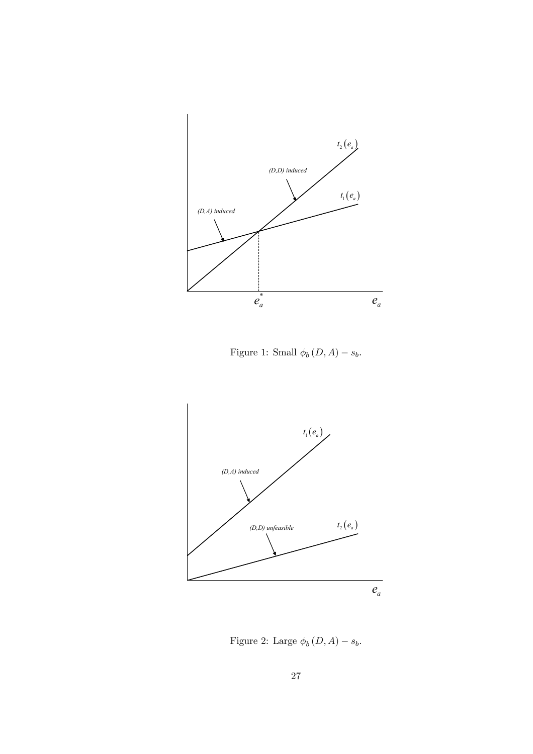

Figure 1: Small  $\phi_b(D, A) - s_b$ .



Figure 2: Large  $\phi_b(D, A) - s_b$ .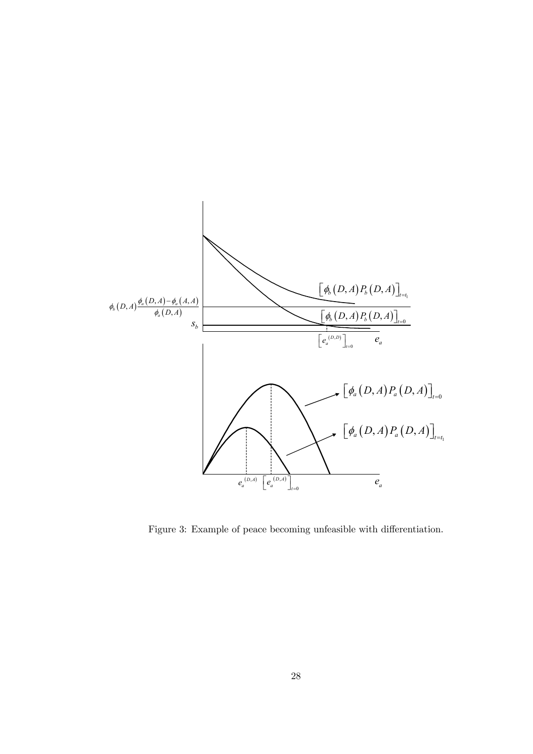

Figure 3: Example of peace becoming unfeasible with differentiation.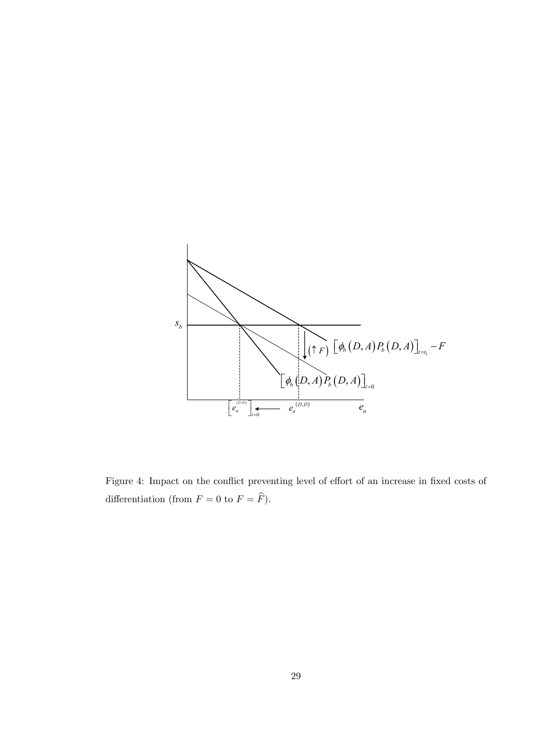

Figure 4: Impact on the conflict preventing level of effort of an increase in fixed costs of differentiation (from  $F = 0$  to  $F = \widehat{F}$ ).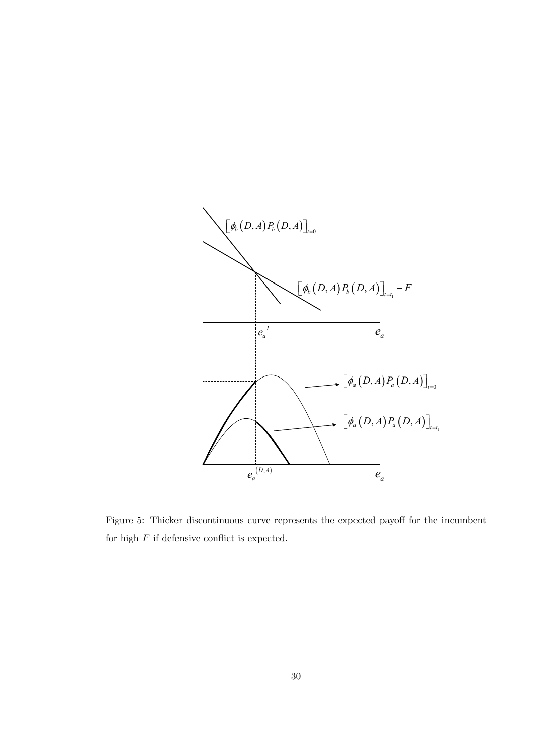

Figure 5: Thicker discontinuous curve represents the expected payoff for the incumbent for high  $F$  if defensive conflict is expected.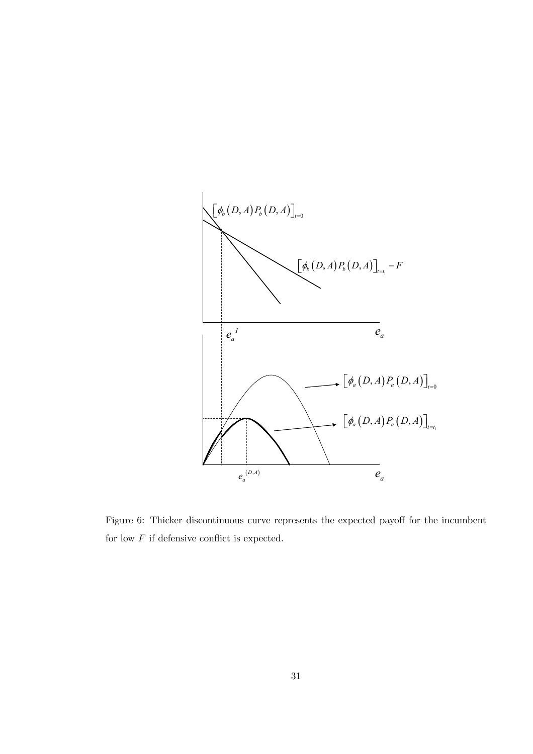

Figure 6: Thicker discontinuous curve represents the expected payoff for the incumbent for low  $F$  if defensive conflict is expected.